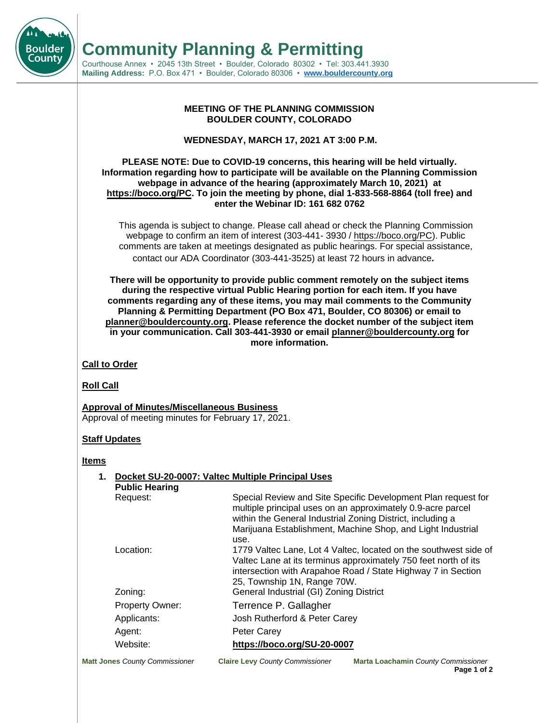**Community Planning & Permitting**

Courthouse Annex • 2045 13th Street • Boulder, Colorado 80302 • Tel: 303.441.3930 **Mailing Address:** P.O. Box 471 • Boulder, Colorado 80306 • **[www.bouldercounty.org](http://www.bouldercounty.org/)**

#### **MEETING OF THE PLANNING COMMISSION BOULDER COUNTY, COLORADO**

**WEDNESDAY, MARCH 17, 2021 AT 3:00 P.M.**

#### **PLEASE NOTE: Due to COVID-19 concerns, this hearing will be held virtually. Information regarding how to participate will be available on the Planning Commission webpage in advance of the hearing (approximately March 10, 2021) at [https://boco.org/PC.](https://boco.org/PC) To join the meeting by phone, dial 1-833-568-8864 (toll free) and enter the Webinar ID: 161 682 0762**

This agenda is subject to change. Please call ahead or check the Planning Commission webpage to confirm an item of interest (303-441- 3930 / https://boco.org/PC). Public comments are taken at meetings designated as public hearings. For special assistance, contact our ADA Coordinator (303-441-3525) at least 72 hours in advance**.**

**There will be opportunity to provide public comment remotely on the subject items during the respective virtual Public Hearing portion for each item. If you have comments regarding any of these items, you may mail comments to the Community Planning & Permitting Department (PO Box 471, Boulder, CO 80306) or email to planner@bouldercounty.org. Please reference the docket number of the subject item in your communication. Call 303-441-3930 or e[mail planner@bouldercounty.o](mailto:planner@bouldercounty.org)rg for more information.** 

# **Call to Order**

**Roll Call**

Bouldeı County

> **Approval of Minutes/Miscellaneous Business** Approval of meeting minutes for February 17, 2021.

## **Staff Updates**

### **Items**

| 1. Docket SU-20-0007: Valtec Multiple Principal Uses<br><b>Public Hearing</b> |                                                                                                                                                                                                                                                                               |
|-------------------------------------------------------------------------------|-------------------------------------------------------------------------------------------------------------------------------------------------------------------------------------------------------------------------------------------------------------------------------|
| Request:                                                                      | Special Review and Site Specific Development Plan request for<br>multiple principal uses on an approximately 0.9-acre parcel<br>within the General Industrial Zoning District, including a<br>Marijuana Establishment, Machine Shop, and Light Industrial<br>use.             |
| Location:<br>Zoning:                                                          | 1779 Valtec Lane, Lot 4 Valtec, located on the southwest side of<br>Valtec Lane at its terminus approximately 750 feet north of its<br>intersection with Arapahoe Road / State Highway 7 in Section<br>25, Township 1N, Range 70W.<br>General Industrial (GI) Zoning District |
| <b>Property Owner:</b>                                                        | Terrence P. Gallagher                                                                                                                                                                                                                                                         |
| Applicants:<br>Agent:                                                         | Josh Rutherford & Peter Carey<br><b>Peter Carey</b>                                                                                                                                                                                                                           |
| Website:                                                                      | https://boco.org/SU-20-0007                                                                                                                                                                                                                                                   |